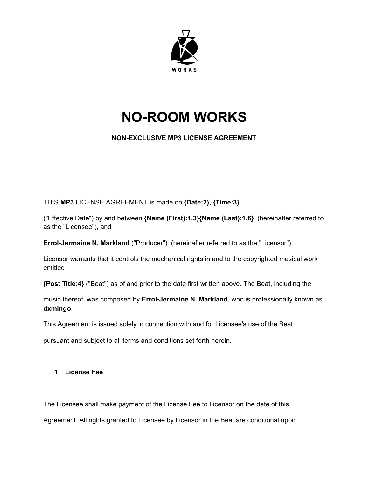

# **NO-ROOM WORKS**

# **NON-EXCLUSIVE MP3 LICENSE AGREEMENT**

THIS **MP3** LICENSE AGREEMENT is made on **{Date:2}, {Time:3}**

("Effective Date") by and between **{Name (First):1.3}{Name (Last):1.6}** (hereinafter referred to as the "Licensee"), and

**Errol-Jermaine N. Markland** ("Producer"). (hereinafter referred to as the "Licensor").

Licensor warrants that it controls the mechanical rights in and to the copyrighted musical work entitled

**{Post Title:4}** ("Beat") as of and prior to the date first written above. The Beat, including the

music thereof, was composed by **Errol-Jermaine N. Markland**, who is professionally known as **dxmingo**.

This Agreement is issued solely in connection with and for Licensee's use of the Beat

pursuant and subject to all terms and conditions set forth herein.

## 1. **License Fee**

The Licensee shall make payment of the License Fee to Licensor on the date of this

Agreement. All rights granted to Licensee by Licensor in the Beat are conditional upon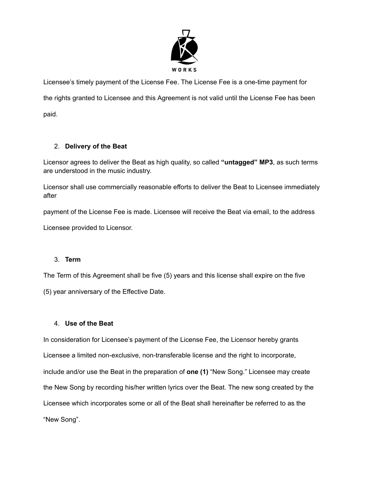

Licensee's timely payment of the License Fee. The License Fee is a one-time payment for the rights granted to Licensee and this Agreement is not valid until the License Fee has been paid.

## 2. **Delivery of the Beat**

Licensor agrees to deliver the Beat as high quality, so called **"untagged" MP3**, as such terms are understood in the music industry.

Licensor shall use commercially reasonable efforts to deliver the Beat to Licensee immediately after

payment of the License Fee is made. Licensee will receive the Beat via email, to the address

Licensee provided to Licensor.

## 3. **Term**

The Term of this Agreement shall be five (5) years and this license shall expire on the five (5) year anniversary of the Effective Date.

## 4. **Use of the Beat**

In consideration for Licensee's payment of the License Fee, the Licensor hereby grants Licensee a limited non-exclusive, non-transferable license and the right to incorporate, include and/or use the Beat in the preparation of **one (1)** "New Song." Licensee may create the New Song by recording his/her written lyrics over the Beat. The new song created by the Licensee which incorporates some or all of the Beat shall hereinafter be referred to as the "New Song".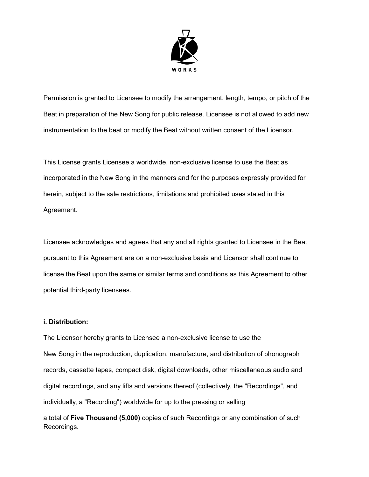

Permission is granted to Licensee to modify the arrangement, length, tempo, or pitch of the Beat in preparation of the New Song for public release. Licensee is not allowed to add new instrumentation to the beat or modify the Beat without written consent of the Licensor.

This License grants Licensee a worldwide, non-exclusive license to use the Beat as incorporated in the New Song in the manners and for the purposes expressly provided for herein, subject to the sale restrictions, limitations and prohibited uses stated in this Agreement.

Licensee acknowledges and agrees that any and all rights granted to Licensee in the Beat pursuant to this Agreement are on a non-exclusive basis and Licensor shall continue to license the Beat upon the same or similar terms and conditions as this Agreement to other potential third-party licensees.

#### **i. Distribution:**

The Licensor hereby grants to Licensee a non-exclusive license to use the New Song in the reproduction, duplication, manufacture, and distribution of phonograph records, cassette tapes, compact disk, digital downloads, other miscellaneous audio and digital recordings, and any lifts and versions thereof (collectively, the "Recordings", and individually, a "Recording") worldwide for up to the pressing or selling

a total of **Five Thousand (5,000)** copies of such Recordings or any combination of such Recordings.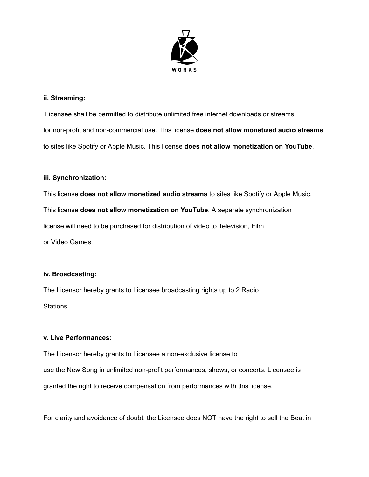

#### **ii. Streaming:**

Licensee shall be permitted to distribute unlimited free internet downloads or streams for non-profit and non-commercial use. This license **does not allow monetized audio streams** to sites like Spotify or Apple Music. This license **does not allow monetization on YouTube**.

#### **iii. Synchronization:**

This license **does not allow monetized audio streams** to sites like Spotify or Apple Music. This license **does not allow monetization on YouTube**. A separate synchronization license will need to be purchased for distribution of video to Television, Film or Video Games.

#### **iv. Broadcasting:**

The Licensor hereby grants to Licensee broadcasting rights up to 2 Radio Stations.

#### **v. Live Performances:**

The Licensor hereby grants to Licensee a non-exclusive license to use the New Song in unlimited non-profit performances, shows, or concerts. Licensee is granted the right to receive compensation from performances with this license.

For clarity and avoidance of doubt, the Licensee does NOT have the right to sell the Beat in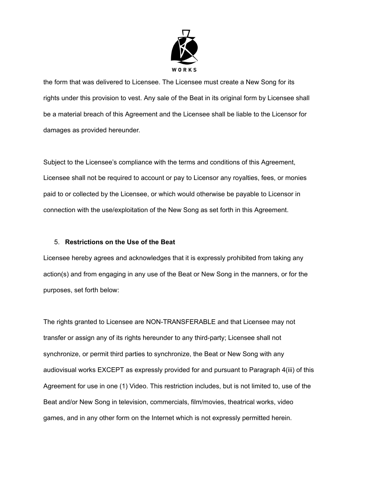

the form that was delivered to Licensee. The Licensee must create a New Song for its rights under this provision to vest. Any sale of the Beat in its original form by Licensee shall be a material breach of this Agreement and the Licensee shall be liable to the Licensor for damages as provided hereunder.

Subject to the Licensee's compliance with the terms and conditions of this Agreement, Licensee shall not be required to account or pay to Licensor any royalties, fees, or monies paid to or collected by the Licensee, or which would otherwise be payable to Licensor in connection with the use/exploitation of the New Song as set forth in this Agreement.

#### 5. **Restrictions on the Use of the Beat**

Licensee hereby agrees and acknowledges that it is expressly prohibited from taking any action(s) and from engaging in any use of the Beat or New Song in the manners, or for the purposes, set forth below:

The rights granted to Licensee are NON-TRANSFERABLE and that Licensee may not transfer or assign any of its rights hereunder to any third-party; Licensee shall not synchronize, or permit third parties to synchronize, the Beat or New Song with any audiovisual works EXCEPT as expressly provided for and pursuant to Paragraph 4(iii) of this Agreement for use in one (1) Video. This restriction includes, but is not limited to, use of the Beat and/or New Song in television, commercials, film/movies, theatrical works, video games, and in any other form on the Internet which is not expressly permitted herein.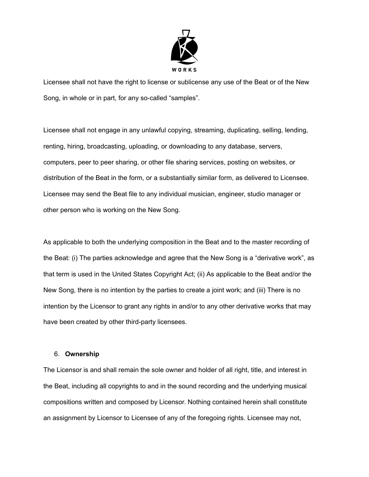

Licensee shall not have the right to license or sublicense any use of the Beat or of the New Song, in whole or in part, for any so-called "samples".

Licensee shall not engage in any unlawful copying, streaming, duplicating, selling, lending, renting, hiring, broadcasting, uploading, or downloading to any database, servers, computers, peer to peer sharing, or other file sharing services, posting on websites, or distribution of the Beat in the form, or a substantially similar form, as delivered to Licensee. Licensee may send the Beat file to any individual musician, engineer, studio manager or other person who is working on the New Song.

As applicable to both the underlying composition in the Beat and to the master recording of the Beat: (i) The parties acknowledge and agree that the New Song is a "derivative work", as that term is used in the United States Copyright Act; (ii) As applicable to the Beat and/or the New Song, there is no intention by the parties to create a joint work; and (iii) There is no intention by the Licensor to grant any rights in and/or to any other derivative works that may have been created by other third-party licensees.

#### 6. **Ownership**

The Licensor is and shall remain the sole owner and holder of all right, title, and interest in the Beat, including all copyrights to and in the sound recording and the underlying musical compositions written and composed by Licensor. Nothing contained herein shall constitute an assignment by Licensor to Licensee of any of the foregoing rights. Licensee may not,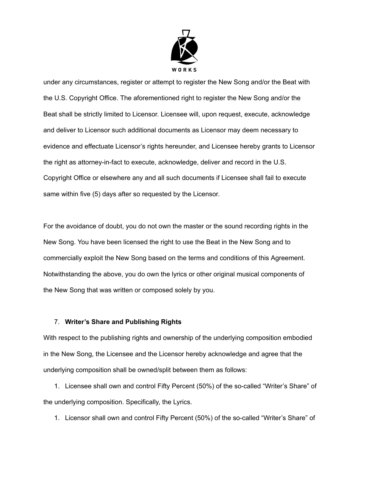

under any circumstances, register or attempt to register the New Song and/or the Beat with the U.S. Copyright Office. The aforementioned right to register the New Song and/or the Beat shall be strictly limited to Licensor. Licensee will, upon request, execute, acknowledge and deliver to Licensor such additional documents as Licensor may deem necessary to evidence and effectuate Licensor's rights hereunder, and Licensee hereby grants to Licensor the right as attorney-in-fact to execute, acknowledge, deliver and record in the U.S. Copyright Office or elsewhere any and all such documents if Licensee shall fail to execute same within five (5) days after so requested by the Licensor.

For the avoidance of doubt, you do not own the master or the sound recording rights in the New Song. You have been licensed the right to use the Beat in the New Song and to commercially exploit the New Song based on the terms and conditions of this Agreement. Notwithstanding the above, you do own the lyrics or other original musical components of the New Song that was written or composed solely by you.

#### 7. **Writer's Share and Publishing Rights**

With respect to the publishing rights and ownership of the underlying composition embodied in the New Song, the Licensee and the Licensor hereby acknowledge and agree that the underlying composition shall be owned/split between them as follows:

1. Licensee shall own and control Fifty Percent (50%) of the so-called "Writer's Share" of the underlying composition. Specifically, the Lyrics.

1. Licensor shall own and control Fifty Percent (50%) of the so-called "Writer's Share" of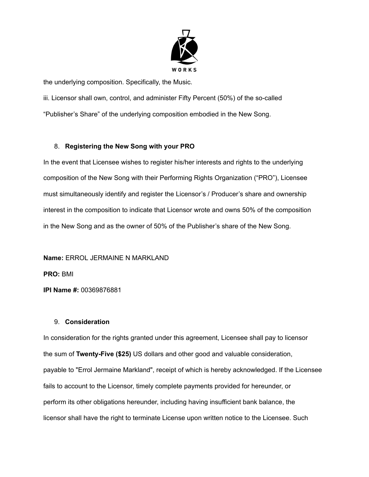

the underlying composition. Specifically, the Music.

iii. Licensor shall own, control, and administer Fifty Percent (50%) of the so-called

"Publisher's Share" of the underlying composition embodied in the New Song.

# 8. **Registering the New Song with your PRO**

In the event that Licensee wishes to register his/her interests and rights to the underlying composition of the New Song with their Performing Rights Organization ("PRO"), Licensee must simultaneously identify and register the Licensor's / Producer's share and ownership interest in the composition to indicate that Licensor wrote and owns 50% of the composition in the New Song and as the owner of 50% of the Publisher's share of the New Song.

**Name:** ERROL JERMAINE N MARKLAND **PRO:** BMI **IPI Name #:** 00369876881

# 9. **Consideration**

In consideration for the rights granted under this agreement, Licensee shall pay to licensor the sum of **Twenty-Five (\$25)** US dollars and other good and valuable consideration, payable to "Errol Jermaine Markland", receipt of which is hereby acknowledged. If the Licensee fails to account to the Licensor, timely complete payments provided for hereunder, or perform its other obligations hereunder, including having insufficient bank balance, the licensor shall have the right to terminate License upon written notice to the Licensee. Such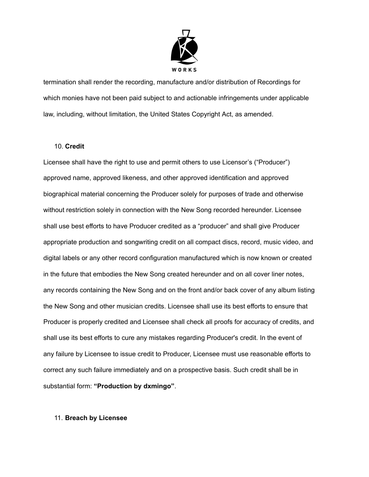

termination shall render the recording, manufacture and/or distribution of Recordings for which monies have not been paid subject to and actionable infringements under applicable law, including, without limitation, the United States Copyright Act, as amended.

#### 10. **Credit**

Licensee shall have the right to use and permit others to use Licensor's ("Producer") approved name, approved likeness, and other approved identification and approved biographical material concerning the Producer solely for purposes of trade and otherwise without restriction solely in connection with the New Song recorded hereunder. Licensee shall use best efforts to have Producer credited as a "producer" and shall give Producer appropriate production and songwriting credit on all compact discs, record, music video, and digital labels or any other record configuration manufactured which is now known or created in the future that embodies the New Song created hereunder and on all cover liner notes, any records containing the New Song and on the front and/or back cover of any album listing the New Song and other musician credits. Licensee shall use its best efforts to ensure that Producer is properly credited and Licensee shall check all proofs for accuracy of credits, and shall use its best efforts to cure any mistakes regarding Producer's credit. In the event of any failure by Licensee to issue credit to Producer, Licensee must use reasonable efforts to correct any such failure immediately and on a prospective basis. Such credit shall be in substantial form: **"Production by dxmingo"**.

#### 11. **Breach by Licensee**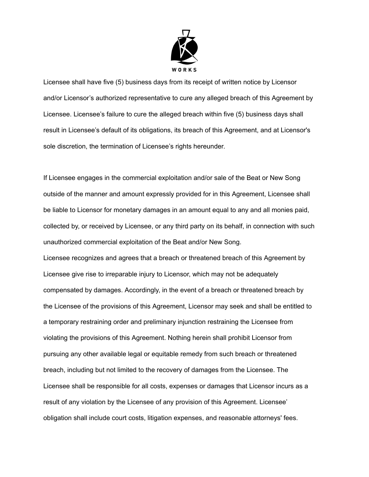

Licensee shall have five (5) business days from its receipt of written notice by Licensor and/or Licensor's authorized representative to cure any alleged breach of this Agreement by Licensee. Licensee's failure to cure the alleged breach within five (5) business days shall result in Licensee's default of its obligations, its breach of this Agreement, and at Licensor's sole discretion, the termination of Licensee's rights hereunder.

If Licensee engages in the commercial exploitation and/or sale of the Beat or New Song outside of the manner and amount expressly provided for in this Agreement, Licensee shall be liable to Licensor for monetary damages in an amount equal to any and all monies paid, collected by, or received by Licensee, or any third party on its behalf, in connection with such unauthorized commercial exploitation of the Beat and/or New Song.

Licensee recognizes and agrees that a breach or threatened breach of this Agreement by Licensee give rise to irreparable injury to Licensor, which may not be adequately compensated by damages. Accordingly, in the event of a breach or threatened breach by the Licensee of the provisions of this Agreement, Licensor may seek and shall be entitled to a temporary restraining order and preliminary injunction restraining the Licensee from violating the provisions of this Agreement. Nothing herein shall prohibit Licensor from pursuing any other available legal or equitable remedy from such breach or threatened breach, including but not limited to the recovery of damages from the Licensee. The Licensee shall be responsible for all costs, expenses or damages that Licensor incurs as a result of any violation by the Licensee of any provision of this Agreement. Licensee' obligation shall include court costs, litigation expenses, and reasonable attorneys' fees.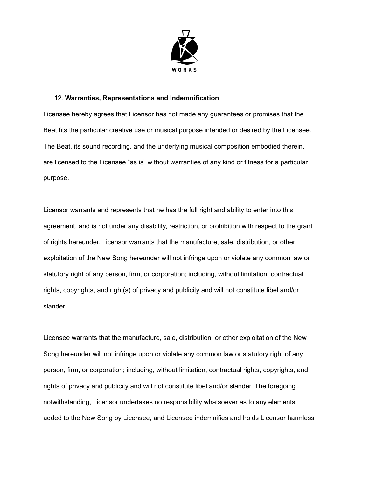

#### 12. **Warranties, Representations and Indemnification**

Licensee hereby agrees that Licensor has not made any guarantees or promises that the Beat fits the particular creative use or musical purpose intended or desired by the Licensee. The Beat, its sound recording, and the underlying musical composition embodied therein, are licensed to the Licensee "as is" without warranties of any kind or fitness for a particular purpose.

Licensor warrants and represents that he has the full right and ability to enter into this agreement, and is not under any disability, restriction, or prohibition with respect to the grant of rights hereunder. Licensor warrants that the manufacture, sale, distribution, or other exploitation of the New Song hereunder will not infringe upon or violate any common law or statutory right of any person, firm, or corporation; including, without limitation, contractual rights, copyrights, and right(s) of privacy and publicity and will not constitute libel and/or slander.

Licensee warrants that the manufacture, sale, distribution, or other exploitation of the New Song hereunder will not infringe upon or violate any common law or statutory right of any person, firm, or corporation; including, without limitation, contractual rights, copyrights, and rights of privacy and publicity and will not constitute libel and/or slander. The foregoing notwithstanding, Licensor undertakes no responsibility whatsoever as to any elements added to the New Song by Licensee, and Licensee indemnifies and holds Licensor harmless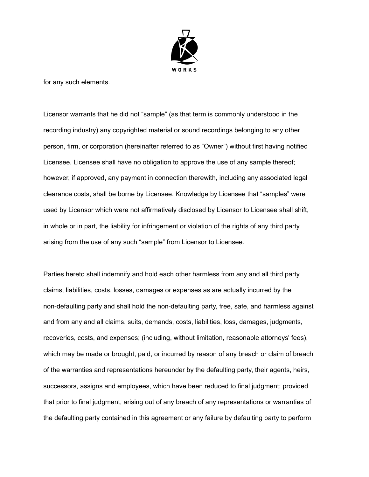

for any such elements.

Licensor warrants that he did not "sample" (as that term is commonly understood in the recording industry) any copyrighted material or sound recordings belonging to any other person, firm, or corporation (hereinafter referred to as "Owner") without first having notified Licensee. Licensee shall have no obligation to approve the use of any sample thereof; however, if approved, any payment in connection therewith, including any associated legal clearance costs, shall be borne by Licensee. Knowledge by Licensee that "samples" were used by Licensor which were not affirmatively disclosed by Licensor to Licensee shall shift, in whole or in part, the liability for infringement or violation of the rights of any third party arising from the use of any such "sample" from Licensor to Licensee.

Parties hereto shall indemnify and hold each other harmless from any and all third party claims, liabilities, costs, losses, damages or expenses as are actually incurred by the non-defaulting party and shall hold the non-defaulting party, free, safe, and harmless against and from any and all claims, suits, demands, costs, liabilities, loss, damages, judgments, recoveries, costs, and expenses; (including, without limitation, reasonable attorneys' fees), which may be made or brought, paid, or incurred by reason of any breach or claim of breach of the warranties and representations hereunder by the defaulting party, their agents, heirs, successors, assigns and employees, which have been reduced to final judgment; provided that prior to final judgment, arising out of any breach of any representations or warranties of the defaulting party contained in this agreement or any failure by defaulting party to perform